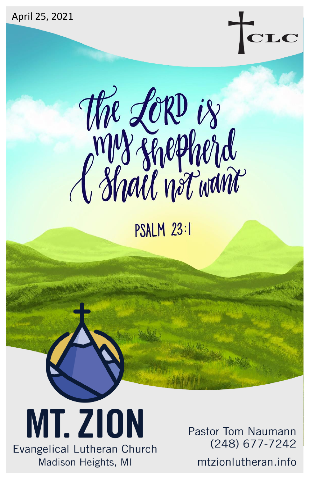





**PSALM 23:1** 

**MT. ZION** Evangelical Lutheran Church Madison Heights, MI

Pastor Tom Naumann (248) 677-7242

mtzionlutheran.info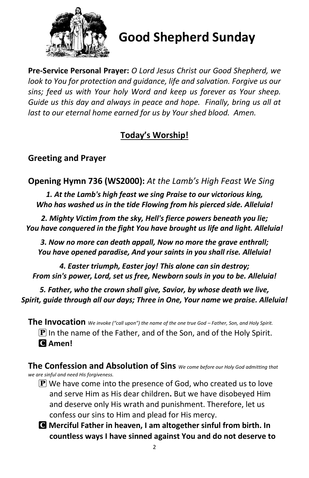

# **Good Shepherd Sunday**

**Pre-Service Personal Prayer:** *O Lord Jesus Christ our Good Shepherd, we look to You for protection and guidance, life and salvation. Forgive us our sins; feed us with Your holy Word and keep us forever as Your sheep. Guide us this day and always in peace and hope. Finally, bring us all at last to our eternal home earned for us by Your shed blood. Amen.*

## **Today's Worship!**

## **Greeting and Prayer**

**Opening Hymn 736 (WS2000):** *At the Lamb's High Feast We Sing*

*1. At the Lamb's high feast we sing Praise to our victorious king, Who has washed us in the tide Flowing from his pierced side. Alleluia!*

*2. Mighty Victim from the sky, Hell's fierce powers beneath you lie; You have conquered in the fight You have brought us life and light. Alleluia!*

*3. Now no more can death appall, Now no more the grave enthrall; You have opened paradise, And your saints in you shall rise. Alleluia!*

*4. Easter triumph, Easter joy! This alone can sin destroy; From sin's power, Lord, set us free, Newborn souls in you to be. Alleluia!*

*5. Father, who the crown shall give, Savior, by whose death we live, Spirit, guide through all our days; Three in One, Your name we praise. Alleluia!*

**The Invocation** *We invoke ("call upon") the name of the one true God – Father, Son, and Holy Spirit.*  $\left[ \mathbf{P} \right]$  In the name of the Father, and of the Son, and of the Holy Spirit. C **Amen!** 

**The Confession and Absolution of Sins** *We come before our Holy God admitting that we are sinful and need His forgiveness.*

- $\bf{P}$  We have come into the presence of God, who created us to love and serve Him as His dear children**.** But we have disobeyed Him and deserve only His wrath and punishment. Therefore, let us confess our sins to Him and plead for His mercy.
- C **Merciful Father in heaven, I am altogether sinful from birth. In countless ways I have sinned against You and do not deserve to**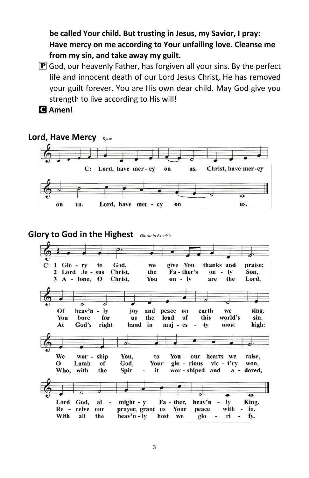**be called Your child. But trusting in Jesus, my Savior, I pray: Have mercy on me according to Your unfailing love. Cleanse me from my sin, and take away my guilt.**

- $\mathbf P$  God, our heavenly Father, has forgiven all your sins. By the perfect life and innocent death of our Lord Jesus Christ, He has removed your guilt forever. You are His own dear child. May God give you strength to live according to His will!
- C **Amen!**

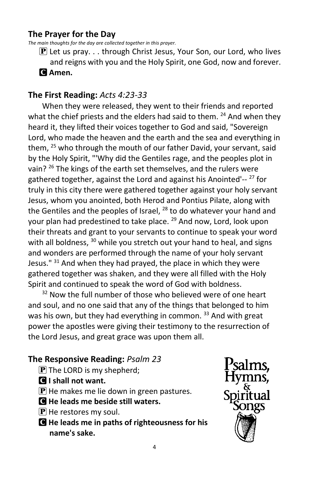## **The Prayer for the Day**

*The main thoughts for the day are collected together in this prayer.*

 $\mathbf{\mathbf{P}}$  Let us pray... through Christ Jesus, Your Son, our Lord, who lives and reigns with you and the Holy Spirit, one God, now and forever. C **Amen.**

## **The First Reading:** *Acts 4:23-33*

When they were released, they went to their friends and reported what the chief priests and the elders had said to them. <sup>24</sup> And when they heard it, they lifted their voices together to God and said, "Sovereign Lord, who made the heaven and the earth and the sea and everything in them, <sup>25</sup> who through the mouth of our father David, your servant, said by the Holy Spirit, "'Why did the Gentiles rage, and the peoples plot in vain? <sup>26</sup> The kings of the earth set themselves, and the rulers were gathered together, against the Lord and against his Anointed'-- <sup>27</sup> for truly in this city there were gathered together against your holy servant Jesus, whom you anointed, both Herod and Pontius Pilate, along with the Gentiles and the peoples of Israel,  $^{28}$  to do whatever your hand and your plan had predestined to take place. <sup>29</sup> And now, Lord, look upon their threats and grant to your servants to continue to speak your word with all boldness, <sup>30</sup> while you stretch out your hand to heal, and signs and wonders are performed through the name of your holy servant Jesus."  $31$  And when they had prayed, the place in which they were gathered together was shaken, and they were all filled with the Holy Spirit and continued to speak the word of God with boldness.

 $32$  Now the full number of those who believed were of one heart and soul, and no one said that any of the things that belonged to him was his own, but they had everything in common. 33 And with great power the apostles were giving their testimony to the resurrection of the Lord Jesus, and great grace was upon them all.

## **The Responsive Reading:** *Psalm 23*

- $\mathbf{P}$  The LORD is my shepherd;
- C **I shall not want.**
- $\bf{P}$  He makes me lie down in green pastures.
- C **He leads me beside still waters.**
- $\mathbf{P}$  He restores my soul.
- C **He leads me in paths of righteousness for his name's sake.**

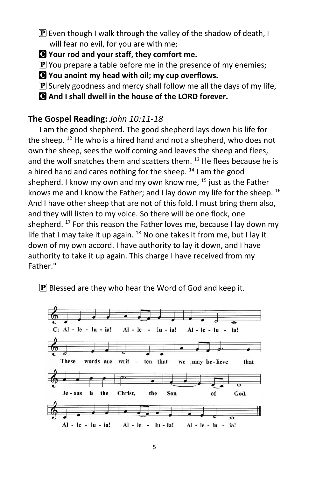- $\mathbf P$  Even though I walk through the valley of the shadow of death, I will fear no evil, for you are with me;
- C **Your rod and your staff, they comfort me.**
- $\bf{P}$  You prepare a table before me in the presence of my enemies;
- C **You anoint my head with oil; my cup overflows.**
- $\bf{P}$  Surely goodness and mercy shall follow me all the days of my life,
- C **And I shall dwell in the house of the LORD forever.**

## **The Gospel Reading:** *John 10:11-18*

I am the good shepherd. The good shepherd lays down his life for the sheep. <sup>12</sup> He who is a hired hand and not a shepherd, who does not own the sheep, sees the wolf coming and leaves the sheep and flees, and the wolf snatches them and scatters them.  $^{13}$  He flees because he is a hired hand and cares nothing for the sheep.  $14$  I am the good shepherd. I know my own and my own know me,  $^{15}$  just as the Father knows me and I know the Father; and I lay down my life for the sheep.  $^{16}$ And I have other sheep that are not of this fold. I must bring them also, and they will listen to my voice. So there will be one flock, one shepherd.  $17$  For this reason the Father loves me, because I lay down my life that I may take it up again.  $^{18}$  No one takes it from me, but I lay it down of my own accord. I have authority to lay it down, and I have authority to take it up again. This charge I have received from my Father."

## $\mathbf P$  Blessed are they who hear the Word of God and keep it.

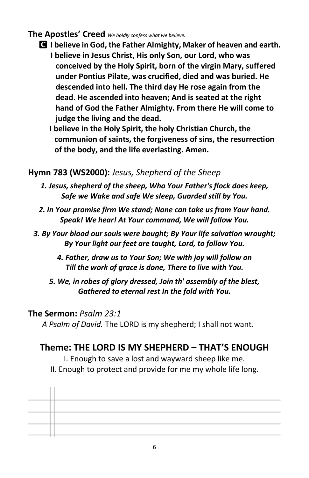## **The Apostles' Creed** *We boldly confess what we believe.*

- C **I believe in God, the Father Almighty, Maker of heaven and earth. I believe in Jesus Christ, His only Son, our Lord, who was conceived by the Holy Spirit, born of the virgin Mary, suffered under Pontius Pilate, was crucified, died and was buried. He descended into hell. The third day He rose again from the dead. He ascended into heaven; And is seated at the right hand of God the Father Almighty. From there He will come to judge the living and the dead.**
	- **I believe in the Holy Spirit, the holy Christian Church, the communion of saints, the forgiveness of sins, the resurrection of the body, and the life everlasting. Amen.**

## **Hymn 783 (WS2000):** *Jesus, Shepherd of the Sheep*

- *1. Jesus, shepherd of the sheep, Who Your Father's flock does keep, Safe we Wake and safe We sleep, Guarded still by You.*
- *2. In Your promise firm We stand; None can take us from Your hand. Speak! We hear! At Your command, We will follow You.*
- *3. By Your blood our souls were bought; By Your life salvation wrought; By Your light our feet are taught, Lord, to follow You.*
	- *4. Father, draw us to Your Son; We with joy will follow on Till the work of grace is done, There to live with You.*
	- *5. We, in robes of glory dressed, Join th' assembly of the blest, Gathered to eternal rest In the fold with You.*

## **The Sermon:** *Psalm 23:1*

*A Psalm of David.* The LORD is my shepherd; I shall not want.

## **Theme: THE LORD IS MY SHEPHERD – THAT'S ENOUGH**

I. Enough to save a lost and wayward sheep like me.

II. Enough to protect and provide for me my whole life long.

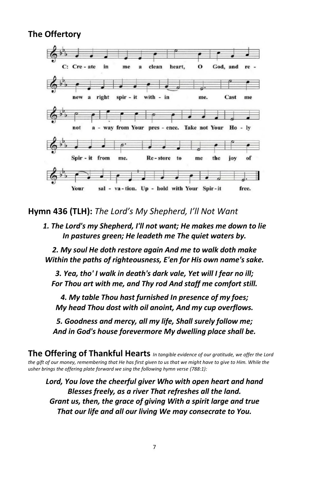## **The Offertory**



**Hymn 436 (TLH):** *The Lord's My Shepherd, I'll Not Want*

*1. The Lord's my Shepherd, I'll not want; He makes me down to lie In pastures green; He leadeth me The quiet waters by.*

*2. My soul He doth restore again And me to walk doth make Within the paths of righteousness, E'en for His own name's sake.*

*3. Yea, tho' I walk in death's dark vale, Yet will I fear no ill; For Thou art with me, and Thy rod And staff me comfort still.*

*4. My table Thou hast furnished In presence of my foes; My head Thou dost with oil anoint, And my cup overflows.*

*5. Goodness and mercy, all my life, Shall surely follow me; And in God's house forevermore My dwelling place shall be.*

**The Offering of Thankful Hearts** *In tangible evidence of our gratitude, we offer the Lord the gift of our money, remembering that He has first given to us that we might have to give to Him. While the usher brings the offering plate forward we sing the following hymn verse (788:1):*

*Lord, You love the cheerful giver Who with open heart and hand Blesses freely, as a river That refreshes all the land. Grant us, then, the grace of giving With a spirit large and true That our life and all our living We may consecrate to You.*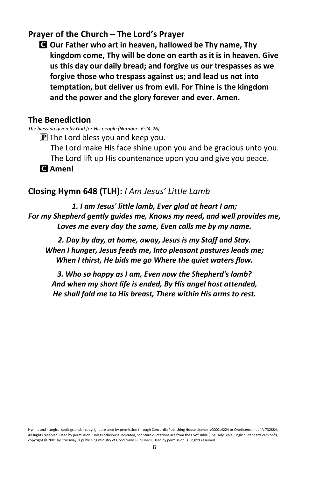## **Prayer of the Church – The Lord's Prayer**

C **Our Father who art in heaven, hallowed be Thy name, Thy kingdom come, Thy will be done on earth as it is in heaven. Give us this day our daily bread; and forgive us our trespasses as we forgive those who trespass against us; and lead us not into temptation, but deliver us from evil. For Thine is the kingdom and the power and the glory forever and ever. Amen.**

### **The Benediction**

*The blessing given by God for His people (Numbers 6:24-26)*

 $\bf{P}$  The Lord bless you and keep you.

The Lord make His face shine upon you and be gracious unto you.

The Lord lift up His countenance upon you and give you peace.

C **Amen!** 

### **Closing Hymn 648 (TLH):** *I Am Jesus' Little Lamb*

*1. I am Jesus' little lamb, Ever glad at heart I am; For my Shepherd gently guides me, Knows my need, and well provides me, Loves me every day the same, Even calls me by my name.*

*2. Day by day, at home, away, Jesus is my Staff and Stay. When I hunger, Jesus feeds me, Into pleasant pastures leads me; When I thirst, He bids me go Where the quiet waters flow.*

*3. Who so happy as I am, Even now the Shepherd's lamb? And when my short life is ended, By His angel host attended, He shall fold me to His breast, There within His arms to rest.*

Hymns and liturgical settings under copyright are used by permission through Concordia Publishing House License #000014224 or OneLicense.net #A-732884. All Rights reserved. Used by permission. Unless otherwise indicated, Scripture quotations are from the ESV® Bible (The Holy Bible, English Standard Version®), copyright © 2001 by Crossway, a publishing ministry of Good News Publishers. Used by permission. All rights reserved.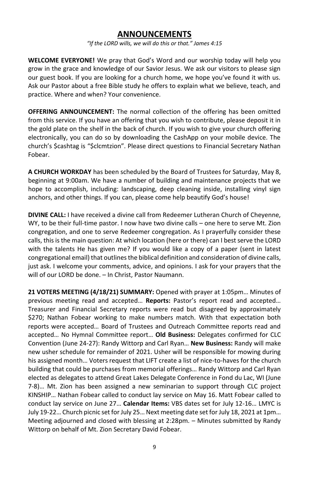### **ANNOUNCEMENTS**

*"If the LORD wills, we will do this or that." James 4:15*

**WELCOME EVERYONE!** We pray that God's Word and our worship today will help you grow in the grace and knowledge of our Savior Jesus. We ask our visitors to please sign our guest book. If you are looking for a church home, we hope you've found it with us. Ask our Pastor about a free Bible study he offers to explain what we believe, teach, and practice. Where and when? Your convenience.

**OFFERING ANNOUNCEMENT:** The normal collection of the offering has been omitted from this service. If you have an offering that you wish to contribute, please deposit it in the gold plate on the shelf in the back of church. If you wish to give your church offering electronically, you can do so by downloading the CashApp on your mobile device. The church's \$cashtag is "\$clcmtzion". Please direct questions to Financial Secretary Nathan Fobear.

**A CHURCH WORKDAY** has been scheduled by the Board of Trustees for Saturday, May 8, beginning at 9:00am. We have a number of building and maintenance projects that we hope to accomplish, including: landscaping, deep cleaning inside, installing vinyl sign anchors, and other things. If you can, please come help beautify God's house!

**DIVINE CALL:** I have received a divine call from Redeemer Lutheran Church of Cheyenne, WY, to be their full-time pastor. I now have two divine calls – one here to serve Mt. Zion congregation, and one to serve Redeemer congregation. As I prayerfully consider these calls, this is the main question: At which location (here or there) can I best serve the LORD with the talents He has given me? If you would like a copy of a paper (sent in latest congregational email) that outlines the biblical definition and consideration of divine calls, just ask. I welcome your comments, advice, and opinions. I ask for your prayers that the will of our LORD be done. – In Christ, Pastor Naumann.

**21 VOTERS MEETING (4/18/21) SUMMARY:** Opened with prayer at 1:05pm… Minutes of previous meeting read and accepted… **Reports:** Pastor's report read and accepted… Treasurer and Financial Secretary reports were read but disagreed by approximately \$270; Nathan Fobear working to make numbers match. With that expectation both reports were accepted… Board of Trustees and Outreach Committee reports read and accepted… No Hymnal Committee report… **Old Business:** Delegates confirmed for CLC Convention (June 24-27): Randy Wittorp and Carl Ryan… **New Business:** Randy will make new usher schedule for remainder of 2021. Usher will be responsible for mowing during his assigned month… Voters request that LIFT create a list of nice-to-haves for the church building that could be purchases from memorial offerings… Randy Wittorp and Carl Ryan elected as delegates to attend Great Lakes Delegate Conference in Fond du Lac, WI (June 7-8)… Mt. Zion has been assigned a new seminarian to support through CLC project KINSHIP… Nathan Fobear called to conduct lay service on May 16. Matt Fobear called to conduct lay service on June 27… **Calendar Items:** VBS dates set for July 12-16… LMYC is July 19-22… Church picnic set for July 25… Next meeting date set for July 18, 2021 at 1pm… Meeting adjourned and closed with blessing at 2:28pm. – Minutes submitted by Randy Wittorp on behalf of Mt. Zion Secretary David Fobear.